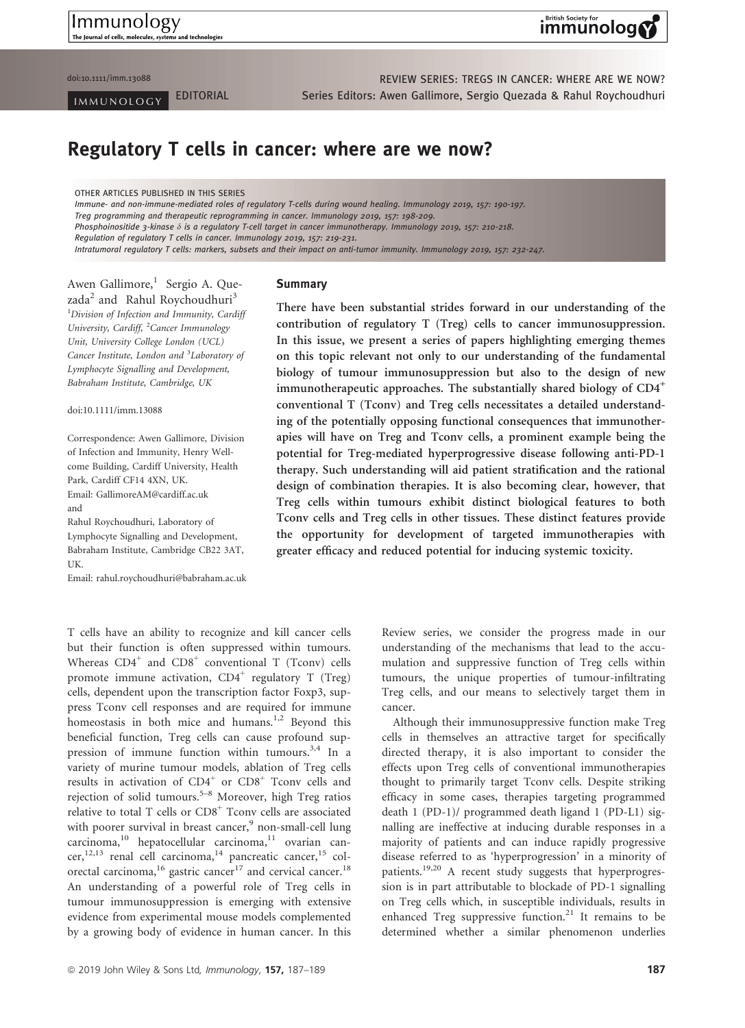Immunology The Journal of cells, molecules, sys and technologie

## **British Society for** immunolog

doi:10.1111/imm.13088 and the control of the control of the control of the REVIEW SERIES: TREGS IN CANCER: WHERE ARE WE NOW? IMMUNOLOGY EDITORIAL Series Editors: Awen Gallimore, Sergio Quezada & Rahul Roychoudhuri

# Regulatory T cells in cancer: where are we now?

OTHER ARTICLES PUBLISHED IN THIS SERIES

Immune- and non-immune-mediated roles of regulatory T-cells during wound healing. Immunology 2019, 157: 190-197. Treg programming and therapeutic reprogramming in cancer. Immunology 2019, 157: 198-209. Phosphoinositide 3-kinase  $\delta$  is a regulatory T-cell target in cancer immunotherapy. Immunology 2019, 157: 210-218. Regulation of regulatory T cells in cancer. Immunology 2019, 157: 219-231. Intratumoral regulatory T cells: markers, subsets and their impact on anti-tumor immunity. Immunology 2019, 157: 232-247.

Awen Gallimore,<sup>1</sup> Sergio A. Quezada<sup>2</sup> and Rahul Roychoudhuri<sup>3</sup> <sup>1</sup>Division of Infection and Immunity, Cardiff University, Cardiff, <sup>2</sup>Cancer Immunology Unit, University College London (UCL) Cancer Institute, London and <sup>3</sup>Laboratory of Lymphocyte Signalling and Development, Babraham Institute, Cambridge, UK

doi:10.1111/imm.13088

Correspondence: Awen Gallimore, Division of Infection and Immunity, Henry Wellcome Building, Cardiff University, Health Park, Cardiff CF14 4XN, UK. Email: [GallimoreAM@cardiff.ac.uk](mailto:) and Rahul Roychoudhuri, Laboratory of

Lymphocyte Signalling and Development, Babraham Institute, Cambridge CB22 3AT, UK.

Email: [rahul.roychoudhuri@babraham.ac.uk](mailto:)

#### Summary

There have been substantial strides forward in our understanding of the contribution of regulatory T (Treg) cells to cancer immunosuppression. In this issue, we present a series of papers highlighting emerging themes on this topic relevant not only to our understanding of the fundamental biology of tumour immunosuppression but also to the design of new immunotherapeutic approaches. The substantially shared biology of  $CD4^+$ conventional T (Tconv) and Treg cells necessitates a detailed understanding of the potentially opposing functional consequences that immunotherapies will have on Treg and Tconv cells, a prominent example being the potential for Treg-mediated hyperprogressive disease following anti-PD-1 therapy. Such understanding will aid patient stratification and the rational design of combination therapies. It is also becoming clear, however, that Treg cells within tumours exhibit distinct biological features to both Tconv cells and Treg cells in other tissues. These distinct features provide the opportunity for development of targeted immunotherapies with greater efficacy and reduced potential for inducing systemic toxicity.

T cells have an ability to recognize and kill cancer cells but their function is often suppressed within tumours. Whereas  $CD4^+$  and  $CD8^+$  conventional T (Tconv) cells promote immune activation,  $CD4^+$  regulatory T (Treg) cells, dependent upon the transcription factor Foxp3, suppress Tconv cell responses and are required for immune homeostasis in both mice and humans.<sup>1,2</sup> Beyond this beneficial function, Treg cells can cause profound suppression of immune function within tumours.<sup>3,4</sup> In a variety of murine tumour models, ablation of Treg cells results in activation of  $CD4^+$  or  $CD8^+$  Tconv cells and rejection of solid tumours.<sup>5–8</sup> Moreover, high Treg ratios relative to total T cells or  $CD8<sup>+</sup>$  Tconv cells are associated with poorer survival in breast cancer,<sup>9</sup> non-small-cell lung carcinoma,<sup>10</sup> hepatocellular carcinoma,<sup>11</sup> ovarian cancer,<sup>12,13</sup> renal cell carcinoma,<sup>14</sup> pancreatic cancer,<sup>15</sup> colorectal carcinoma, $^{16}$  gastric cancer<sup>17</sup> and cervical cancer.<sup>18</sup> An understanding of a powerful role of Treg cells in tumour immunosuppression is emerging with extensive evidence from experimental mouse models complemented by a growing body of evidence in human cancer. In this Review series, we consider the progress made in our understanding of the mechanisms that lead to the accumulation and suppressive function of Treg cells within tumours, the unique properties of tumour-infiltrating Treg cells, and our means to selectively target them in cancer.

Although their immunosuppressive function make Treg cells in themselves an attractive target for specifically directed therapy, it is also important to consider the effects upon Treg cells of conventional immunotherapies thought to primarily target Tconv cells. Despite striking efficacy in some cases, therapies targeting programmed death 1 (PD-1)/ programmed death ligand 1 (PD-L1) signalling are ineffective at inducing durable responses in a majority of patients and can induce rapidly progressive disease referred to as 'hyperprogression' in a minority of patients.<sup>19,20</sup> A recent study suggests that hyperprogression is in part attributable to blockade of PD-1 signalling on Treg cells which, in susceptible individuals, results in enhanced Treg suppressive function.<sup>21</sup> It remains to be determined whether a similar phenomenon underlies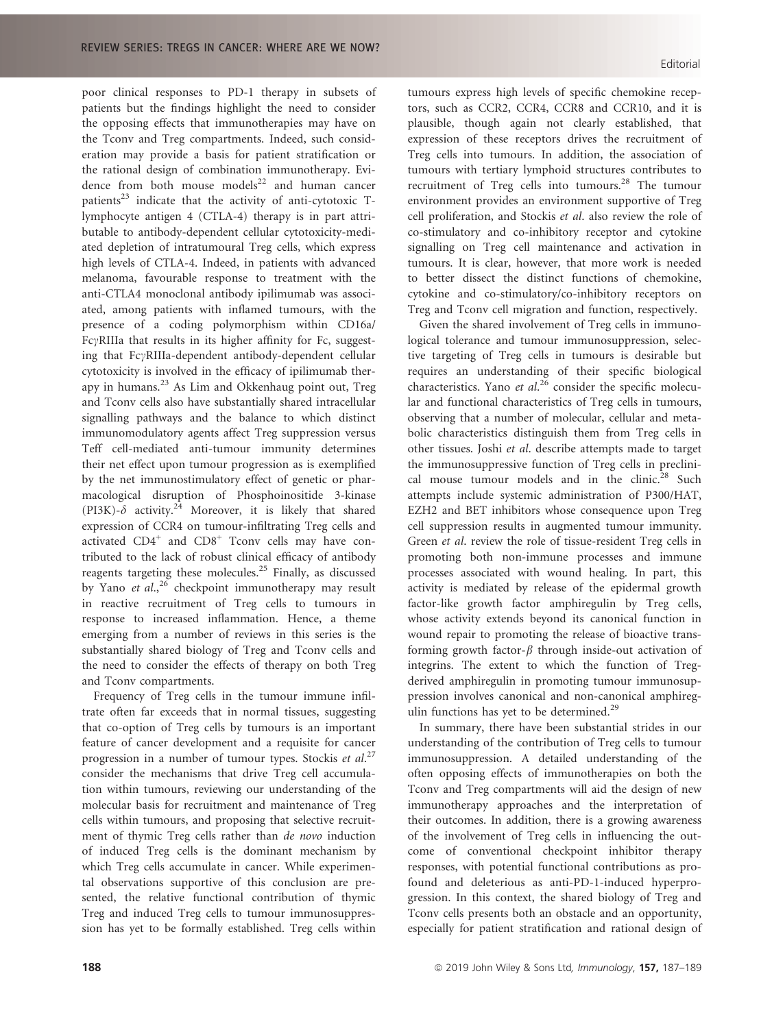poor clinical responses to PD-1 therapy in subsets of patients but the findings highlight the need to consider the opposing effects that immunotherapies may have on the Tconv and Treg compartments. Indeed, such consideration may provide a basis for patient stratification or the rational design of combination immunotherapy. Evidence from both mouse models $^{22}$  and human cancer patients<sup>23</sup> indicate that the activity of anti-cytotoxic  $T$ lymphocyte antigen 4 (CTLA-4) therapy is in part attributable to antibody-dependent cellular cytotoxicity-mediated depletion of intratumoural Treg cells, which express high levels of CTLA-4. Indeed, in patients with advanced melanoma, favourable response to treatment with the anti-CTLA4 monoclonal antibody ipilimumab was associated, among patients with inflamed tumours, with the presence of a coding polymorphism within CD16a/  $Fc\gamma$ RIIIa that results in its higher affinity for Fc, suggesting that FcyRIIIa-dependent antibody-dependent cellular cytotoxicity is involved in the efficacy of ipilimumab therapy in humans. $^{23}$  As Lim and Okkenhaug point out, Treg and Tconv cells also have substantially shared intracellular signalling pathways and the balance to which distinct immunomodulatory agents affect Treg suppression versus Teff cell-mediated anti-tumour immunity determines their net effect upon tumour progression as is exemplified by the net immunostimulatory effect of genetic or pharmacological disruption of Phosphoinositide 3-kinase (PI3K)- $\delta$  activity.<sup>24</sup> Moreover, it is likely that shared expression of CCR4 on tumour-infiltrating Treg cells and activated  $CD4^+$  and  $CD8^+$  Tconv cells may have contributed to the lack of robust clinical efficacy of antibody reagents targeting these molecules.<sup>25</sup> Finally, as discussed by Yano et  $al$ ,<sup>26</sup> checkpoint immunotherapy may result in reactive recruitment of Treg cells to tumours in response to increased inflammation. Hence, a theme emerging from a number of reviews in this series is the substantially shared biology of Treg and Tconv cells and the need to consider the effects of therapy on both Treg and Tconv compartments.

Frequency of Treg cells in the tumour immune infiltrate often far exceeds that in normal tissues, suggesting that co-option of Treg cells by tumours is an important feature of cancer development and a requisite for cancer progression in a number of tumour types. Stockis et al.<sup>27</sup> consider the mechanisms that drive Treg cell accumulation within tumours, reviewing our understanding of the molecular basis for recruitment and maintenance of Treg cells within tumours, and proposing that selective recruitment of thymic Treg cells rather than de novo induction of induced Treg cells is the dominant mechanism by which Treg cells accumulate in cancer. While experimental observations supportive of this conclusion are presented, the relative functional contribution of thymic Treg and induced Treg cells to tumour immunosuppression has yet to be formally established. Treg cells within

tumours express high levels of specific chemokine receptors, such as CCR2, CCR4, CCR8 and CCR10, and it is plausible, though again not clearly established, that expression of these receptors drives the recruitment of Treg cells into tumours. In addition, the association of tumours with tertiary lymphoid structures contributes to recruitment of Treg cells into tumours.<sup>28</sup> The tumour environment provides an environment supportive of Treg cell proliferation, and Stockis et al. also review the role of co-stimulatory and co-inhibitory receptor and cytokine signalling on Treg cell maintenance and activation in tumours. It is clear, however, that more work is needed to better dissect the distinct functions of chemokine, cytokine and co-stimulatory/co-inhibitory receptors on Treg and Tconv cell migration and function, respectively.

Given the shared involvement of Treg cells in immunological tolerance and tumour immunosuppression, selective targeting of Treg cells in tumours is desirable but requires an understanding of their specific biological characteristics. Yano et al.<sup>26</sup> consider the specific molecular and functional characteristics of Treg cells in tumours, observing that a number of molecular, cellular and metabolic characteristics distinguish them from Treg cells in other tissues. Joshi et al. describe attempts made to target the immunosuppressive function of Treg cells in preclinical mouse tumour models and in the clinic.<sup>28</sup> Such attempts include systemic administration of P300/HAT, EZH2 and BET inhibitors whose consequence upon Treg cell suppression results in augmented tumour immunity. Green et al. review the role of tissue-resident Treg cells in promoting both non-immune processes and immune processes associated with wound healing. In part, this activity is mediated by release of the epidermal growth factor-like growth factor amphiregulin by Treg cells, whose activity extends beyond its canonical function in wound repair to promoting the release of bioactive transforming growth factor- $\beta$  through inside-out activation of integrins. The extent to which the function of Tregderived amphiregulin in promoting tumour immunosuppression involves canonical and non-canonical amphiregulin functions has yet to be determined.<sup>29</sup>

In summary, there have been substantial strides in our understanding of the contribution of Treg cells to tumour immunosuppression. A detailed understanding of the often opposing effects of immunotherapies on both the Tconv and Treg compartments will aid the design of new immunotherapy approaches and the interpretation of their outcomes. In addition, there is a growing awareness of the involvement of Treg cells in influencing the outcome of conventional checkpoint inhibitor therapy responses, with potential functional contributions as profound and deleterious as anti-PD-1-induced hyperprogression. In this context, the shared biology of Treg and Tconv cells presents both an obstacle and an opportunity, especially for patient stratification and rational design of